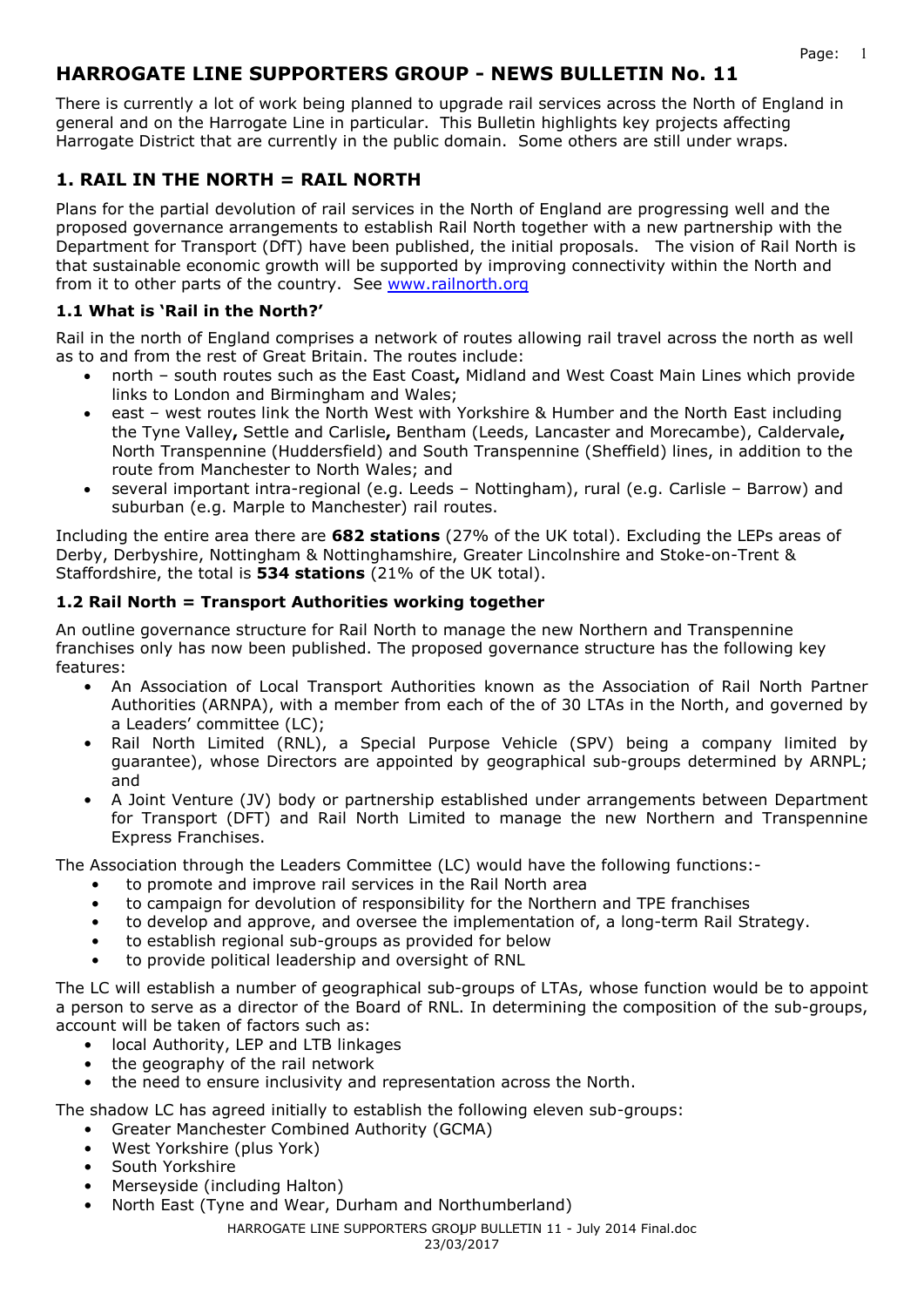# **HARROGATE LINE SUPPORTERS GROUP - NEWS BULLETIN No. 11**

There is currently a lot of work being planned to upgrade rail services across the North of England in general and on the Harrogate Line in particular. This Bulletin highlights key projects affecting Harrogate District that are currently in the public domain. Some others are still under wraps.

# **1. RAIL IN THE NORTH = RAIL NORTH**

Plans for the partial devolution of rail services in the North of England are progressing well and the proposed governance arrangements to establish Rail North together with a new partnership with the Department for Transport (DfT) have been published, the initial proposals. The vision of Rail North is that sustainable economic growth will be supported by improving connectivity within the North and from it to other parts of the country. See www.railnorth.org

### **1.1 What is 'Rail in the North?'**

Rail in the north of England comprises a network of routes allowing rail travel across the north as well as to and from the rest of Great Britain. The routes include:

- north south routes such as the East Coast**,** Midland and West Coast Main Lines which provide links to London and Birmingham and Wales;
- east west routes link the North West with Yorkshire & Humber and the North East including the Tyne Valley**,** Settle and Carlisle**,** Bentham (Leeds, Lancaster and Morecambe), Caldervale**,**  North Transpennine (Huddersfield) and South Transpennine (Sheffield) lines, in addition to the route from Manchester to North Wales; and
- several important intra-regional (e.g. Leeds Nottingham), rural (e.g. Carlisle Barrow) and suburban (e.g. Marple to Manchester) rail routes.

Including the entire area there are **682 stations** (27% of the UK total). Excluding the LEPs areas of Derby, Derbyshire, Nottingham & Nottinghamshire, Greater Lincolnshire and Stoke-on-Trent & Staffordshire, the total is **534 stations** (21% of the UK total).

### **1.2 Rail North = Transport Authorities working together**

An outline governance structure for Rail North to manage the new Northern and Transpennine franchises only has now been published. The proposed governance structure has the following key features:

- An Association of Local Transport Authorities known as the Association of Rail North Partner Authorities (ARNPA), with a member from each of the of 30 LTAs in the North, and governed by a Leaders' committee (LC);
- Rail North Limited (RNL), a Special Purpose Vehicle (SPV) being a company limited by guarantee), whose Directors are appointed by geographical sub-groups determined by ARNPL; and
- A Joint Venture (JV) body or partnership established under arrangements between Department for Transport (DFT) and Rail North Limited to manage the new Northern and Transpennine Express Franchises.

The Association through the Leaders Committee (LC) would have the following functions:-

- to promote and improve rail services in the Rail North area
- to campaign for devolution of responsibility for the Northern and TPE franchises
- to develop and approve, and oversee the implementation of, a long-term Rail Strategy.
- to establish regional sub-groups as provided for below
- to provide political leadership and oversight of RNL

The LC will establish a number of geographical sub-groups of LTAs, whose function would be to appoint a person to serve as a director of the Board of RNL. In determining the composition of the sub-groups, account will be taken of factors such as:

- local Authority, LEP and LTB linkages
- the geography of the rail network
- the need to ensure inclusivity and representation across the North.

The shadow LC has agreed initially to establish the following eleven sub-groups:

- Greater Manchester Combined Authority (GCMA)
- West Yorkshire (plus York)
- South Yorkshire
- Merseyside (including Halton)
- North East (Tyne and Wear, Durham and Northumberland)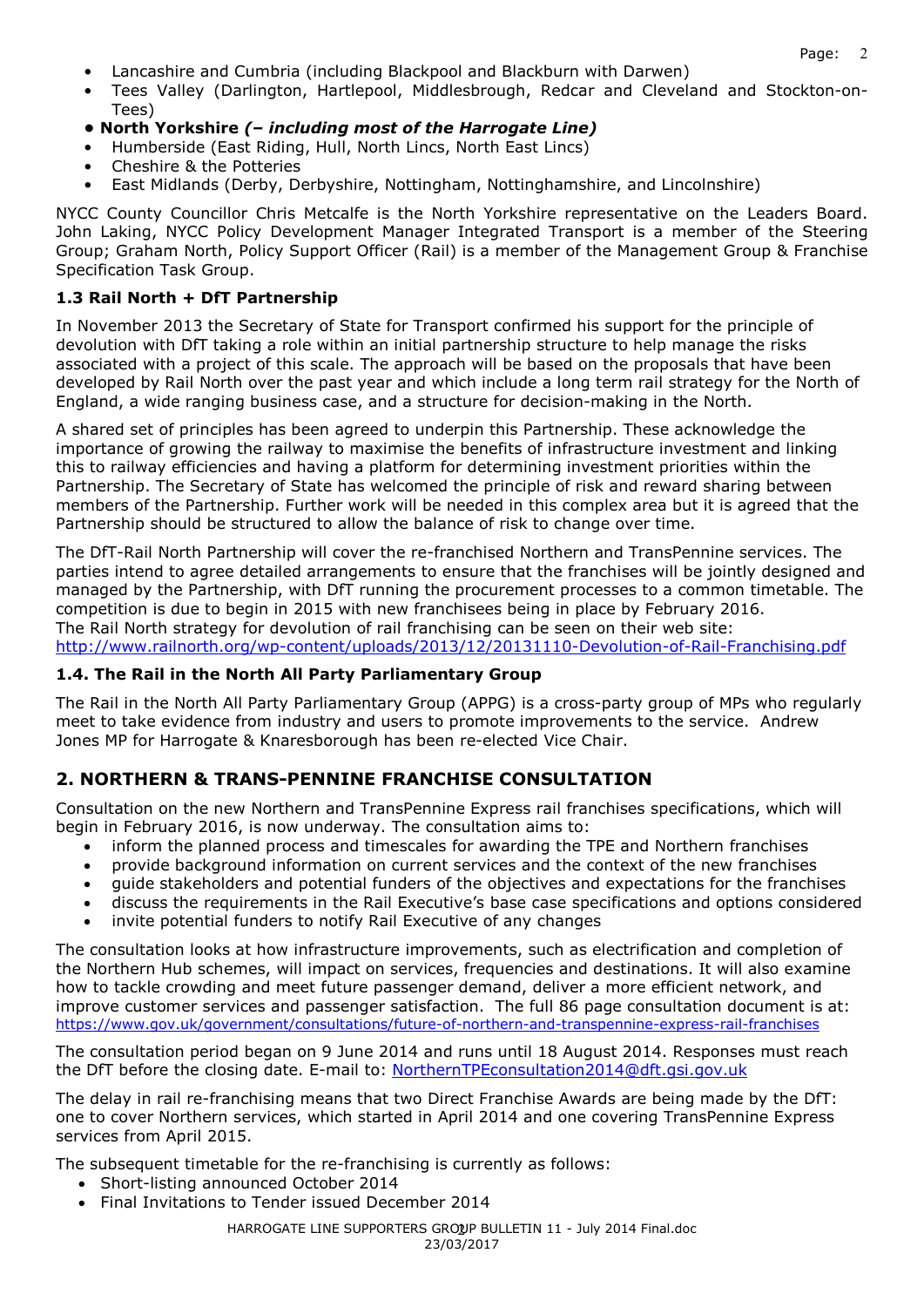- Lancashire and Cumbria (including Blackpool and Blackburn with Darwen)
- Tees Valley (Darlington, Hartlepool, Middlesbrough, Redcar and Cleveland and Stockton-on-Tees)
- **North Yorkshire** *(– including most of the Harrogate Line)*
- Humberside (East Riding, Hull, North Lincs, North East Lincs)
- Cheshire & the Potteries
- East Midlands (Derby, Derbyshire, Nottingham, Nottinghamshire, and Lincolnshire)

NYCC County Councillor Chris Metcalfe is the North Yorkshire representative on the Leaders Board. John Laking, NYCC Policy Development Manager Integrated Transport is a member of the Steering Group; Graham North, Policy Support Officer (Rail) is a member of the Management Group & Franchise Specification Task Group.

#### **1.3 Rail North + DfT Partnership**

In November 2013 the Secretary of State for Transport confirmed his support for the principle of devolution with DfT taking a role within an initial partnership structure to help manage the risks associated with a project of this scale. The approach will be based on the proposals that have been developed by Rail North over the past year and which include a long term rail strategy for the North of England, a wide ranging business case, and a structure for decision-making in the North.

A shared set of principles has been agreed to underpin this Partnership. These acknowledge the importance of growing the railway to maximise the benefits of infrastructure investment and linking this to railway efficiencies and having a platform for determining investment priorities within the Partnership. The Secretary of State has welcomed the principle of risk and reward sharing between members of the Partnership. Further work will be needed in this complex area but it is agreed that the Partnership should be structured to allow the balance of risk to change over time.

The DfT-Rail North Partnership will cover the re-franchised Northern and TransPennine services. The parties intend to agree detailed arrangements to ensure that the franchises will be jointly designed and managed by the Partnership, with DfT running the procurement processes to a common timetable. The competition is due to begin in 2015 with new franchisees being in place by February 2016. The Rail North strategy for devolution of rail franchising can be seen on their web site: http://www.railnorth.org/wp-content/uploads/2013/12/20131110-Devolution-of-Rail-Franchising.pdf

#### **1.4. The Rail in the North All Party Parliamentary Group**

The Rail in the North All Party Parliamentary Group (APPG) is a cross-party group of MPs who regularly meet to take evidence from industry and users to promote improvements to the service. Andrew Jones MP for Harrogate & Knaresborough has been re-elected Vice Chair.

# **2. NORTHERN & TRANS-PENNINE FRANCHISE CONSULTATION**

Consultation on the new Northern and TransPennine Express rail franchises specifications, which will begin in February 2016, is now underway. The consultation aims to:

- inform the planned process and timescales for awarding the TPE and Northern franchises
- provide background information on current services and the context of the new franchises
- guide stakeholders and potential funders of the objectives and expectations for the franchises
- discuss the requirements in the Rail Executive's base case specifications and options considered
- invite potential funders to notify Rail Executive of any changes

The consultation looks at how infrastructure improvements, such as electrification and completion of the Northern Hub schemes, will impact on services, frequencies and destinations. It will also examine how to tackle crowding and meet future passenger demand, deliver a more efficient network, and improve customer services and passenger satisfaction. The full 86 page consultation document is at: https://www.gov.uk/government/consultations/future-of-northern-and-transpennine-express-rail-franchises

The consultation period began on 9 June 2014 and runs until 18 August 2014. Responses must reach the DfT before the closing date. E-mail to: NorthernTPEconsultation2014@dft.gsi.gov.uk

The delay in rail re-franchising means that two Direct Franchise Awards are being made by the DfT: one to cover Northern services, which started in April 2014 and one covering TransPennine Express services from April 2015.

The subsequent timetable for the re-franchising is currently as follows:

- Short-listing announced October 2014
- Final Invitations to Tender issued December 2014

HARROGATE LINE SUPPORTERS GROUP BULLETIN 11 - July 2014 Final.doc 23/03/2017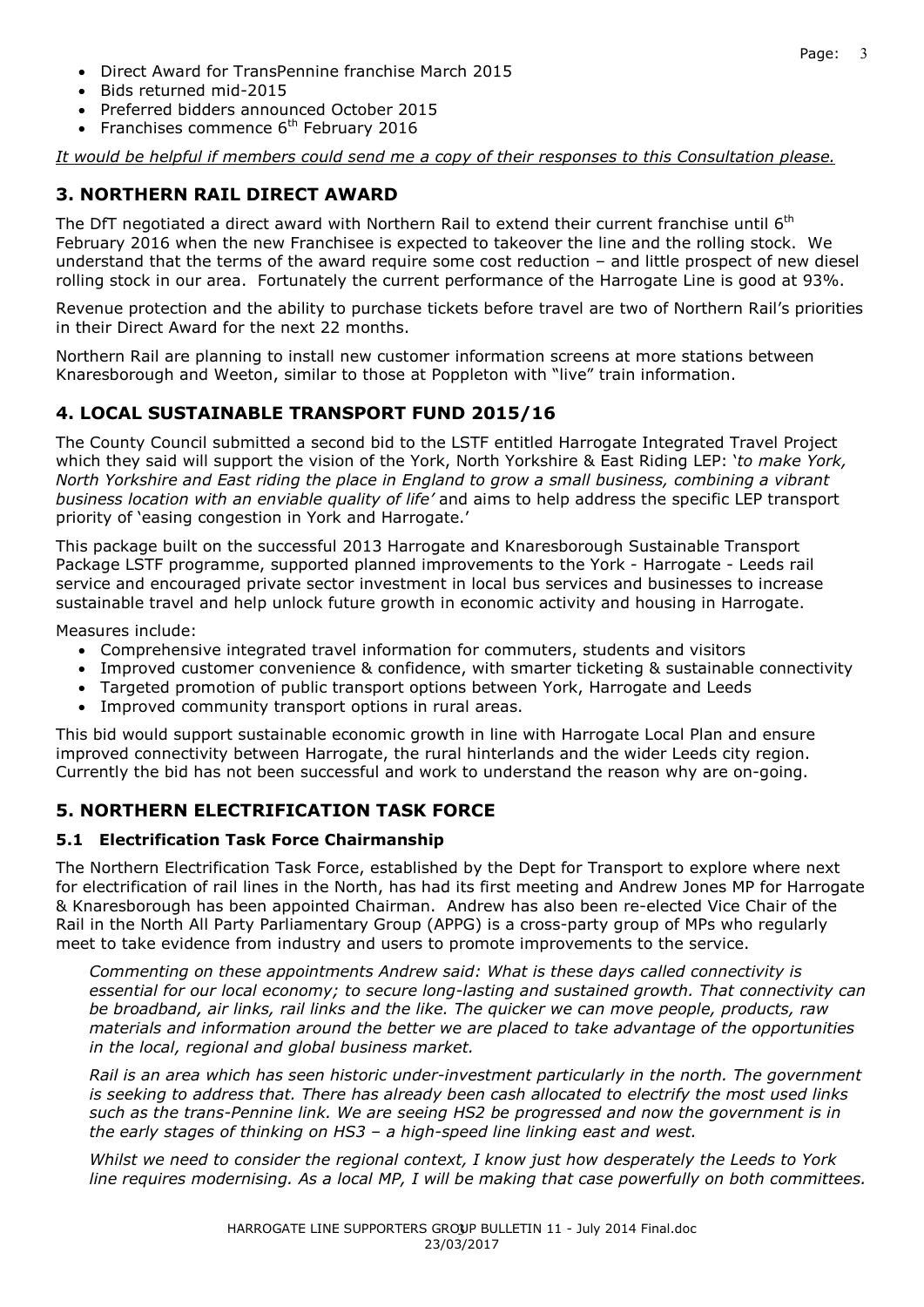- Direct Award for TransPennine franchise March 2015
- Bids returned mid-2015
- Preferred bidders announced October 2015
- Franchises commence  $6<sup>th</sup>$  February 2016

*It would be helpful if members could send me a copy of their responses to this Consultation please.*

### **3. NORTHERN RAIL DIRECT AWARD**

The DfT negotiated a direct award with Northern Rail to extend their current franchise until  $6<sup>th</sup>$ February 2016 when the new Franchisee is expected to takeover the line and the rolling stock. We understand that the terms of the award require some cost reduction – and little prospect of new diesel rolling stock in our area. Fortunately the current performance of the Harrogate Line is good at 93%.

Revenue protection and the ability to purchase tickets before travel are two of Northern Rail's priorities in their Direct Award for the next 22 months.

Northern Rail are planning to install new customer information screens at more stations between Knaresborough and Weeton, similar to those at Poppleton with "live" train information.

### **4. LOCAL SUSTAINABLE TRANSPORT FUND 2015/16**

The County Council submitted a second bid to the LSTF entitled Harrogate Integrated Travel Project which they said will support the vision of the York, North Yorkshire & East Riding LEP: '*to make York, North Yorkshire and East riding the place in England to grow a small business, combining a vibrant business location with an enviable quality of life'* and aims to help address the specific LEP transport priority of 'easing congestion in York and Harrogate.'

This package built on the successful 2013 Harrogate and Knaresborough Sustainable Transport Package LSTF programme, supported planned improvements to the York - Harrogate - Leeds rail service and encouraged private sector investment in local bus services and businesses to increase sustainable travel and help unlock future growth in economic activity and housing in Harrogate.

Measures include:

- Comprehensive integrated travel information for commuters, students and visitors
- Improved customer convenience & confidence, with smarter ticketing & sustainable connectivity
- Targeted promotion of public transport options between York, Harrogate and Leeds
- Improved community transport options in rural areas.

This bid would support sustainable economic growth in line with Harrogate Local Plan and ensure improved connectivity between Harrogate, the rural hinterlands and the wider Leeds city region. Currently the bid has not been successful and work to understand the reason why are on-going.

# **5. NORTHERN ELECTRIFICATION TASK FORCE**

#### **5.1 Electrification Task Force Chairmanship**

The Northern Electrification Task Force, established by the Dept for Transport to explore where next for electrification of rail lines in the North, has had its first meeting and Andrew Jones MP for Harrogate & Knaresborough has been appointed Chairman. Andrew has also been re-elected Vice Chair of the Rail in the North All Party Parliamentary Group (APPG) is a cross-party group of MPs who regularly meet to take evidence from industry and users to promote improvements to the service.

*Commenting on these appointments Andrew said: What is these days called connectivity is essential for our local economy; to secure long-lasting and sustained growth. That connectivity can be broadband, air links, rail links and the like. The quicker we can move people, products, raw materials and information around the better we are placed to take advantage of the opportunities in the local, regional and global business market.* 

*Rail is an area which has seen historic under-investment particularly in the north. The government is seeking to address that. There has already been cash allocated to electrify the most used links such as the trans-Pennine link. We are seeing HS2 be progressed and now the government is in the early stages of thinking on HS3 – a high-speed line linking east and west.* 

*Whilst we need to consider the regional context, I know just how desperately the Leeds to York line requires modernising. As a local MP, I will be making that case powerfully on both committees.*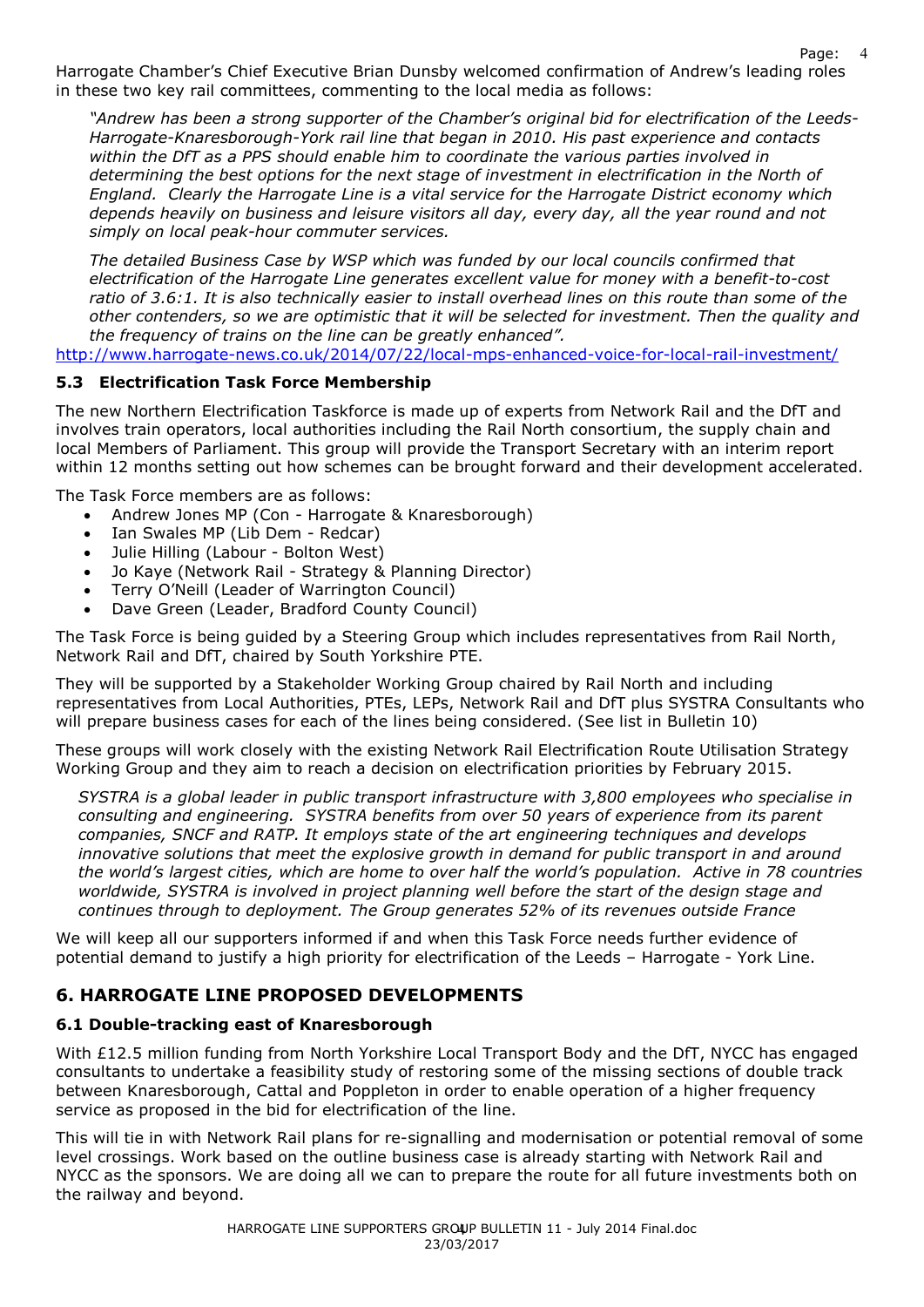Page: Harrogate Chamber's Chief Executive Brian Dunsby welcomed confirmation of Andrew's leading roles in these two key rail committees, commenting to the local media as follows:

*"Andrew has been a strong supporter of the Chamber's original bid for electrification of the Leeds-Harrogate-Knaresborough-York rail line that began in 2010. His past experience and contacts within the DfT as a PPS should enable him to coordinate the various parties involved in determining the best options for the next stage of investment in electrification in the North of England. Clearly the Harrogate Line is a vital service for the Harrogate District economy which depends heavily on business and leisure visitors all day, every day, all the year round and not simply on local peak-hour commuter services.* 

4

*The detailed Business Case by WSP which was funded by our local councils confirmed that electrification of the Harrogate Line generates excellent value for money with a benefit-to-cost ratio of 3.6:1. It is also technically easier to install overhead lines on this route than some of the other contenders, so we are optimistic that it will be selected for investment. Then the quality and the frequency of trains on the line can be greatly enhanced".* 

http://www.harrogate-news.co.uk/2014/07/22/local-mps-enhanced-voice-for-local-rail-investment/

#### **5.3 Electrification Task Force Membership**

The new Northern Electrification Taskforce is made up of experts from Network Rail and the DfT and involves train operators, local authorities including the Rail North consortium, the supply chain and local Members of Parliament. This group will provide the Transport Secretary with an interim report within 12 months setting out how schemes can be brought forward and their development accelerated.

The Task Force members are as follows:

- Andrew Jones MP (Con Harrogate & Knaresborough)
- Ian Swales MP (Lib Dem Redcar)
- Julie Hilling (Labour Bolton West)
- Jo Kaye (Network Rail Strategy & Planning Director)
- Terry O'Neill (Leader of Warrington Council)
- Dave Green (Leader, Bradford County Council)

The Task Force is being guided by a Steering Group which includes representatives from Rail North, Network Rail and DfT, chaired by South Yorkshire PTE.

They will be supported by a Stakeholder Working Group chaired by Rail North and including representatives from Local Authorities, PTEs, LEPs, Network Rail and DfT plus SYSTRA Consultants who will prepare business cases for each of the lines being considered. (See list in Bulletin 10)

These groups will work closely with the existing Network Rail Electrification Route Utilisation Strategy Working Group and they aim to reach a decision on electrification priorities by February 2015.

*SYSTRA is a global leader in public transport infrastructure with 3,800 employees who specialise in consulting and engineering. SYSTRA benefits from over 50 years of experience from its parent companies, SNCF and RATP. It employs state of the art engineering techniques and develops innovative solutions that meet the explosive growth in demand for public transport in and around the world's largest cities, which are home to over half the world's population. Active in 78 countries worldwide, SYSTRA is involved in project planning well before the start of the design stage and continues through to deployment. The Group generates 52% of its revenues outside France* 

We will keep all our supporters informed if and when this Task Force needs further evidence of potential demand to justify a high priority for electrification of the Leeds – Harrogate - York Line.

# **6. HARROGATE LINE PROPOSED DEVELOPMENTS**

#### **6.1 Double-tracking east of Knaresborough**

With £12.5 million funding from North Yorkshire Local Transport Body and the DfT, NYCC has engaged consultants to undertake a feasibility study of restoring some of the missing sections of double track between Knaresborough, Cattal and Poppleton in order to enable operation of a higher frequency service as proposed in the bid for electrification of the line.

This will tie in with Network Rail plans for re-signalling and modernisation or potential removal of some level crossings. Work based on the outline business case is already starting with Network Rail and NYCC as the sponsors. We are doing all we can to prepare the route for all future investments both on the railway and beyond.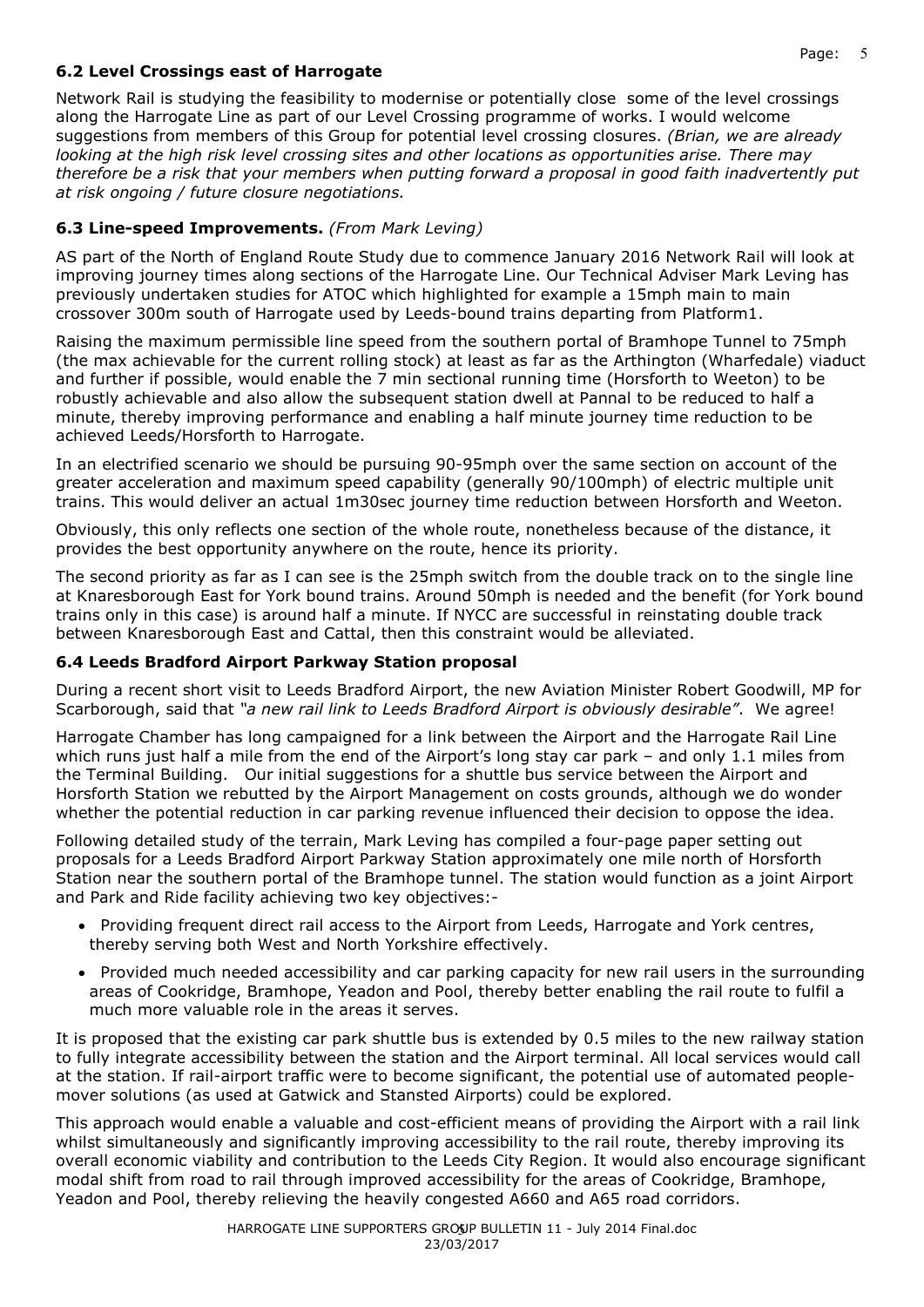### **6.2 Level Crossings east of Harrogate**

Network Rail is studying the feasibility to modernise or potentially close some of the level crossings along the Harrogate Line as part of our Level Crossing programme of works. I would welcome suggestions from members of this Group for potential level crossing closures. *(Brian, we are already looking at the high risk level crossing sites and other locations as opportunities arise. There may therefore be a risk that your members when putting forward a proposal in good faith inadvertently put at risk ongoing / future closure negotiations.* 

### **6.3 Line-speed Improvements.** *(From Mark Leving)*

AS part of the North of England Route Study due to commence January 2016 Network Rail will look at improving journey times along sections of the Harrogate Line. Our Technical Adviser Mark Leving has previously undertaken studies for ATOC which highlighted for example a 15mph main to main crossover 300m south of Harrogate used by Leeds-bound trains departing from Platform1.

Raising the maximum permissible line speed from the southern portal of Bramhope Tunnel to 75mph (the max achievable for the current rolling stock) at least as far as the Arthington (Wharfedale) viaduct and further if possible, would enable the 7 min sectional running time (Horsforth to Weeton) to be robustly achievable and also allow the subsequent station dwell at Pannal to be reduced to half a minute, thereby improving performance and enabling a half minute journey time reduction to be achieved Leeds/Horsforth to Harrogate.

In an electrified scenario we should be pursuing 90-95mph over the same section on account of the greater acceleration and maximum speed capability (generally 90/100mph) of electric multiple unit trains. This would deliver an actual 1m30sec journey time reduction between Horsforth and Weeton.

Obviously, this only reflects one section of the whole route, nonetheless because of the distance, it provides the best opportunity anywhere on the route, hence its priority.

The second priority as far as I can see is the 25mph switch from the double track on to the single line at Knaresborough East for York bound trains. Around 50mph is needed and the benefit (for York bound trains only in this case) is around half a minute. If NYCC are successful in reinstating double track between Knaresborough East and Cattal, then this constraint would be alleviated.

#### **6.4 Leeds Bradford Airport Parkway Station proposal**

During a recent short visit to Leeds Bradford Airport, the new Aviation Minister Robert Goodwill, MP for Scarborough, said that *"a new rail link to Leeds Bradford Airport is obviously desirable"*. We agree!

Harrogate Chamber has long campaigned for a link between the Airport and the Harrogate Rail Line which runs just half a mile from the end of the Airport's long stay car park – and only 1.1 miles from the Terminal Building. Our initial suggestions for a shuttle bus service between the Airport and Horsforth Station we rebutted by the Airport Management on costs grounds, although we do wonder whether the potential reduction in car parking revenue influenced their decision to oppose the idea.

Following detailed study of the terrain, Mark Leving has compiled a four-page paper setting out proposals for a Leeds Bradford Airport Parkway Station approximately one mile north of Horsforth Station near the southern portal of the Bramhope tunnel. The station would function as a joint Airport and Park and Ride facility achieving two key objectives:-

- Providing frequent direct rail access to the Airport from Leeds, Harrogate and York centres, thereby serving both West and North Yorkshire effectively.
- Provided much needed accessibility and car parking capacity for new rail users in the surrounding areas of Cookridge, Bramhope, Yeadon and Pool, thereby better enabling the rail route to fulfil a much more valuable role in the areas it serves.

It is proposed that the existing car park shuttle bus is extended by 0.5 miles to the new railway station to fully integrate accessibility between the station and the Airport terminal. All local services would call at the station. If rail-airport traffic were to become significant, the potential use of automated peoplemover solutions (as used at Gatwick and Stansted Airports) could be explored.

This approach would enable a valuable and cost-efficient means of providing the Airport with a rail link whilst simultaneously and significantly improving accessibility to the rail route, thereby improving its overall economic viability and contribution to the Leeds City Region. It would also encourage significant modal shift from road to rail through improved accessibility for the areas of Cookridge, Bramhope, Yeadon and Pool, thereby relieving the heavily congested A660 and A65 road corridors.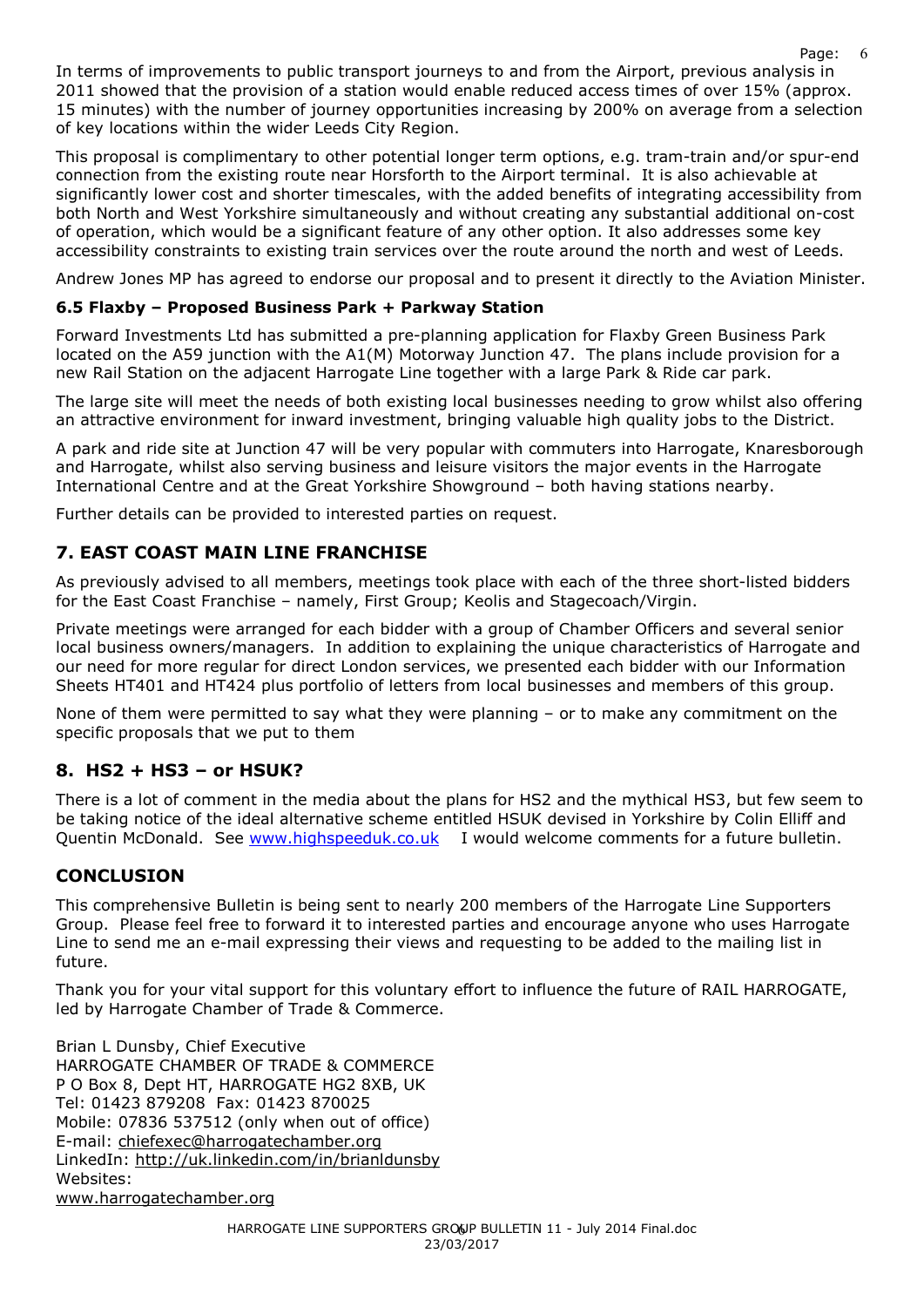In terms of improvements to public transport journeys to and from the Airport, previous analysis in 2011 showed that the provision of a station would enable reduced access times of over 15% (approx. 15 minutes) with the number of journey opportunities increasing by 200% on average from a selection of key locations within the wider Leeds City Region.

This proposal is complimentary to other potential longer term options, e.g. tram-train and/or spur-end connection from the existing route near Horsforth to the Airport terminal. It is also achievable at significantly lower cost and shorter timescales, with the added benefits of integrating accessibility from both North and West Yorkshire simultaneously and without creating any substantial additional on-cost of operation, which would be a significant feature of any other option. It also addresses some key accessibility constraints to existing train services over the route around the north and west of Leeds.

Andrew Jones MP has agreed to endorse our proposal and to present it directly to the Aviation Minister.

### **6.5 Flaxby – Proposed Business Park + Parkway Station**

Forward Investments Ltd has submitted a pre-planning application for Flaxby Green Business Park located on the A59 junction with the A1(M) Motorway Junction 47. The plans include provision for a new Rail Station on the adjacent Harrogate Line together with a large Park & Ride car park.

The large site will meet the needs of both existing local businesses needing to grow whilst also offering an attractive environment for inward investment, bringing valuable high quality jobs to the District.

A park and ride site at Junction 47 will be very popular with commuters into Harrogate, Knaresborough and Harrogate, whilst also serving business and leisure visitors the major events in the Harrogate International Centre and at the Great Yorkshire Showground – both having stations nearby.

Further details can be provided to interested parties on request.

# **7. EAST COAST MAIN LINE FRANCHISE**

As previously advised to all members, meetings took place with each of the three short-listed bidders for the East Coast Franchise – namely, First Group; Keolis and Stagecoach/Virgin.

Private meetings were arranged for each bidder with a group of Chamber Officers and several senior local business owners/managers. In addition to explaining the unique characteristics of Harrogate and our need for more regular for direct London services, we presented each bidder with our Information Sheets HT401 and HT424 plus portfolio of letters from local businesses and members of this group.

None of them were permitted to say what they were planning – or to make any commitment on the specific proposals that we put to them

# **8. HS2 + HS3 – or HSUK?**

There is a lot of comment in the media about the plans for HS2 and the mythical HS3, but few seem to be taking notice of the ideal alternative scheme entitled HSUK devised in Yorkshire by Colin Elliff and Quentin McDonald. See www.highspeeduk.co.uk I would welcome comments for a future bulletin.

# **CONCLUSION**

This comprehensive Bulletin is being sent to nearly 200 members of the Harrogate Line Supporters Group. Please feel free to forward it to interested parties and encourage anyone who uses Harrogate Line to send me an e-mail expressing their views and requesting to be added to the mailing list in future.

Thank you for your vital support for this voluntary effort to influence the future of RAIL HARROGATE, led by Harrogate Chamber of Trade & Commerce.

Brian L Dunsby, Chief Executive HARROGATE CHAMBER OF TRADE & COMMERCE P O Box 8, Dept HT, HARROGATE HG2 8XB, UK Tel: 01423 879208 Fax: 01423 870025 Mobile: 07836 537512 (only when out of office) E-mail: chiefexec@harrogatechamber.org LinkedIn: http://uk.linkedin.com/in/brianldunsby Websites: www.harrogatechamber.org